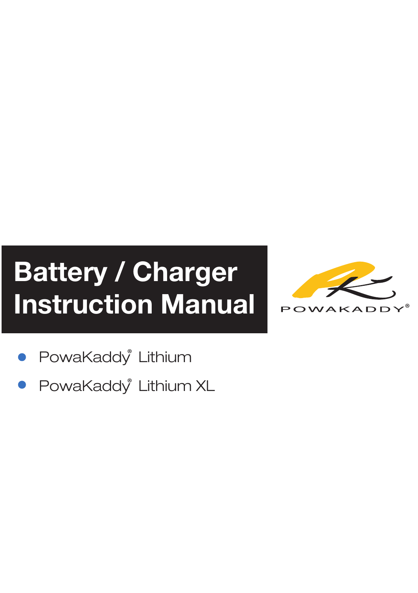## Battery / Charger Instruction Manual



- PowaKaddy<sup>®</sup> Lithium
- PowaKaddy<sup>®</sup> Lithium XL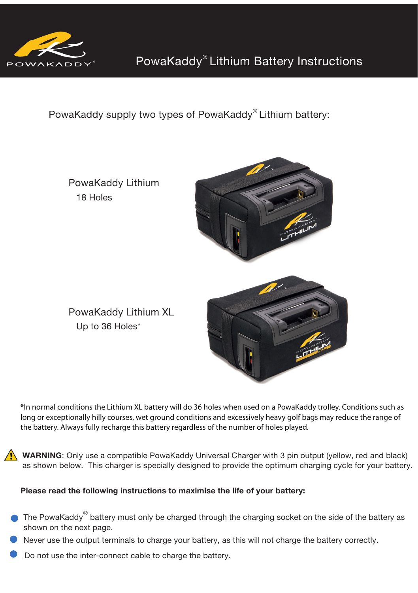

PowaKaddy supply two types of PowaKaddy® Lithium battery:



\*In normal conditions the Lithium XL battery will do 36 holes when used on a PowaKaddy trolley. Conditions such as long or exceptionally hilly courses, wet ground conditions and excessively heavy golf bags may reduce the range of the battery. Always fully recharge this battery regardless of the number of holes played.

WARNING: Only use a compatible PowaKaddy Universal Charger with 3 pin output (yellow, red and black) as shown below. This charger is specially designed to provide the optimum charging cycle for your battery.

## Please read the following instructions to maximise the life of your battery:

- The PowaKaddy $^\circledast$  battery must only be charged through the charging socket on the side of the battery as shown on the next page.
- Never use the output terminals to charge your battery, as this will not charge the battery correctly.
- Do not use the inter-connect cable to charge the battery.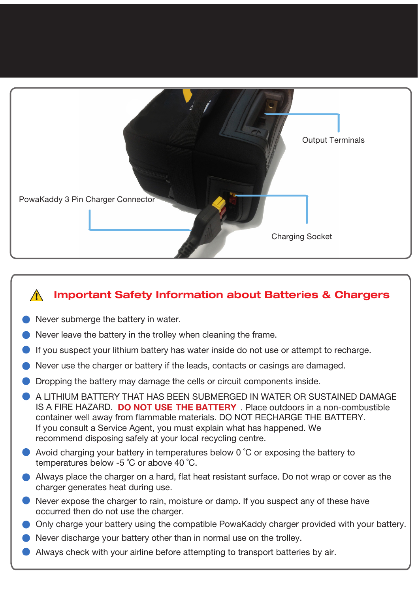

## Important Safety Information about Batteries & Chargers  $\bigwedge$

- Never submerge the battery in water.
- Never leave the battery in the trolley when cleaning the frame.
- If you suspect your lithium battery has water inside do not use or attempt to recharge.
- Never use the charger or battery if the leads, contacts or casings are damaged.
- Dropping the battery may damage the cells or circuit components inside.
- A LITHIUM BATTERY THAT HAS BEEN SUBMERGED IN WATER OR SUSTAINED DAMAGE IS A FIRE HAZARD. DO NOT USE THE BATTERY . Place outdoors in a non-combustible container well away from flammable materials. DO NOT RECHARGE THE BATTERY. recommend disposing safely at your local recycling centre. If you consult a Service Agent, you must explain what has happened. We
- Avoid charging your battery in temperatures below 0 ˚C or exposing the battery to temperatures below -5 ˚C or above 40 ˚C.
- Always place the charger on a hard, flat heat resistant surface. Do not wrap or cover as the charger generates heat during use.
- Never expose the charger to rain, moisture or damp. If you suspect any of these have occurred then do not use the charger.
- Only charge your battery using the compatible PowaKaddy charger provided with your battery.
- Never discharge your battery other than in normal use on the trolley.
- Always check with your airline before attempting to transport batteries by air.